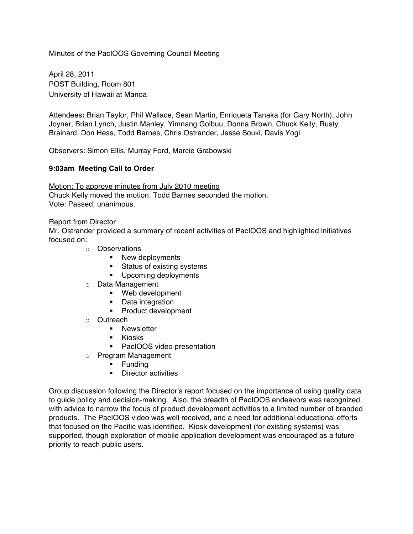Minutes of the PacIOOS Governing Council Meeting

April 28, 2011 POST Building, Room 801 University of Hawaii at Manoa

Attendees**:** Brian Taylor, Phil Wallace, Sean Martin, Enriqueta Tanaka (for Gary North), John Joyner, Brian Lynch, Justin Manley, Yimnang Golbuu, Donna Brown, Chuck Kelly, Rusty Brainard, Don Hess, Todd Barnes, Chris Ostrander, Jesse Souki, Davis Yogi

Observers: Simon Ellis, Murray Ford, Marcie Grabowski

## **9:03am Meeting Call to Order**

Motion: To approve minutes from July 2010 meeting Chuck Kelly moved the motion. Todd Barnes seconded the motion. Vote: Passed, unanimous.

### Report from Director

Mr. Ostrander provided a summary of recent activities of PacIOOS and highlighted initiatives focused on:

- o Observations
	- New deployments
	- Status of existing systems
	- Upcoming deployments
- o Data Management
	- § Web development
	- Data integration
	- Product development
- o Outreach
	- Newsletter
	- Kiosks
	- PacIOOS video presentation
- o Program Management
	- § Funding
	- Director activities

Group discussion following the Director's report focused on the importance of using quality data to guide policy and decision-making. Also, the breadth of PacIOOS endeavors was recognized, with advice to narrow the focus of product development activities to a limited number of branded products. The PacIOOS video was well received, and a need for additional educational efforts that focused on the Pacific was identified. Kiosk development (for existing systems) was supported, though exploration of mobile application development was encouraged as a future priority to reach public users.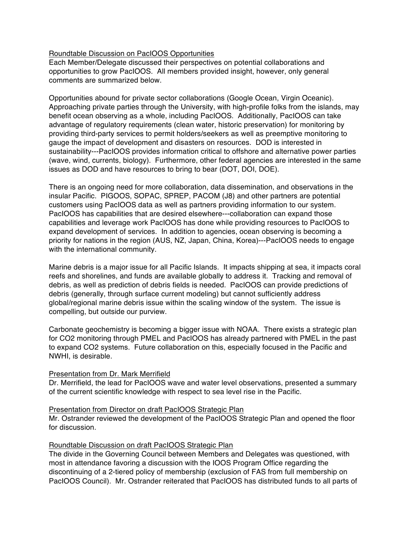# Roundtable Discussion on PacIOOS Opportunities

Each Member/Delegate discussed their perspectives on potential collaborations and opportunities to grow PacIOOS. All members provided insight, however, only general comments are summarized below.

Opportunities abound for private sector collaborations (Google Ocean, Virgin Oceanic). Approaching private parties through the University, with high-profile folks from the islands, may benefit ocean observing as a whole, including PacIOOS. Additionally, PacIOOS can take advantage of regulatory requirements (clean water, historic preservation) for monitoring by providing third-party services to permit holders/seekers as well as preemptive monitoring to gauge the impact of development and disasters on resources. DOD is interested in sustainability---PacIOOS provides information critical to offshore and alternative power parties (wave, wind, currents, biology). Furthermore, other federal agencies are interested in the same issues as DOD and have resources to bring to bear (DOT, DOI, DOE).

There is an ongoing need for more collaboration, data dissemination, and observations in the insular Pacific. PIGOOS, SOPAC, SPREP, PACOM (J8) and other partners are potential customers using PacIOOS data as well as partners providing information to our system. PacIOOS has capabilities that are desired elsewhere---collaboration can expand those capabilities and leverage work PacIOOS has done while providing resources to PacIOOS to expand development of services. In addition to agencies, ocean observing is becoming a priority for nations in the region (AUS, NZ, Japan, China, Korea)---PacIOOS needs to engage with the international community.

Marine debris is a major issue for all Pacific Islands. It impacts shipping at sea, it impacts coral reefs and shorelines, and funds are available globally to address it. Tracking and removal of debris, as well as prediction of debris fields is needed. PacIOOS can provide predictions of debris (generally, through surface current modeling) but cannot sufficiently address global/regional marine debris issue within the scaling window of the system. The issue is compelling, but outside our purview.

Carbonate geochemistry is becoming a bigger issue with NOAA. There exists a strategic plan for CO2 monitoring through PMEL and PacIOOS has already partnered with PMEL in the past to expand CO2 systems. Future collaboration on this, especially focused in the Pacific and NWHI, is desirable.

## Presentation from Dr. Mark Merrifield

Dr. Merrifield, the lead for PacIOOS wave and water level observations, presented a summary of the current scientific knowledge with respect to sea level rise in the Pacific.

## Presentation from Director on draft PacIOOS Strategic Plan

Mr. Ostrander reviewed the development of the PacIOOS Strategic Plan and opened the floor for discussion.

## Roundtable Discussion on draft PacIOOS Strategic Plan

The divide in the Governing Council between Members and Delegates was questioned, with most in attendance favoring a discussion with the IOOS Program Office regarding the discontinuing of a 2-tiered policy of membership (exclusion of FAS from full membership on PacIOOS Council). Mr. Ostrander reiterated that PacIOOS has distributed funds to all parts of